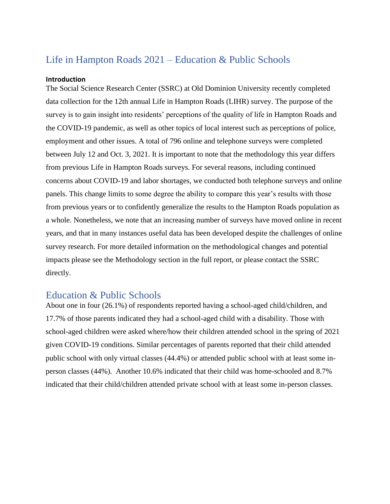## Life in Hampton Roads 2021 – Education & Public Schools

## **Introduction**

The Social Science Research Center (SSRC) at Old Dominion University recently completed data collection for the 12th annual Life in Hampton Roads (LIHR) survey. The purpose of the survey is to gain insight into residents' perceptions of the quality of life in Hampton Roads and the COVID-19 pandemic, as well as other topics of local interest such as perceptions of police, employment and other issues. A total of 796 online and telephone surveys were completed between July 12 and Oct. 3, 2021. It is important to note that the methodology this year differs from previous Life in Hampton Roads surveys. For several reasons, including continued concerns about COVID-19 and labor shortages, we conducted both telephone surveys and online panels. This change limits to some degree the ability to compare this year's results with those from previous years or to confidently generalize the results to the Hampton Roads population as a whole. Nonetheless, we note that an increasing number of surveys have moved online in recent years, and that in many instances useful data has been developed despite the challenges of online survey research. For more detailed information on the methodological changes and potential impacts please see the Methodology section in the full report, or please contact the SSRC directly.

## Education & Public Schools

About one in four (26.1%) of respondents reported having a school-aged child/children, and 17.7% of those parents indicated they had a school-aged child with a disability. Those with school-aged children were asked where/how their children attended school in the spring of 2021 given COVID-19 conditions. Similar percentages of parents reported that their child attended public school with only virtual classes (44.4%) or attended public school with at least some inperson classes (44%). Another 10.6% indicated that their child was home-schooled and 8.7% indicated that their child/children attended private school with at least some in-person classes.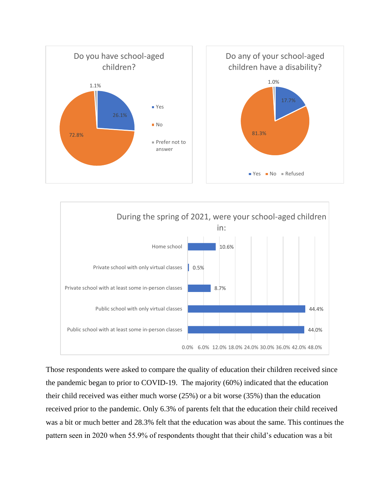



Those respondents were asked to compare the quality of education their children received since the pandemic began to prior to COVID-19. The majority (60%) indicated that the education their child received was either much worse (25%) or a bit worse (35%) than the education received prior to the pandemic. Only 6.3% of parents felt that the education their child received was a bit or much better and 28.3% felt that the education was about the same. This continues the pattern seen in 2020 when 55.9% of respondents thought that their child's education was a bit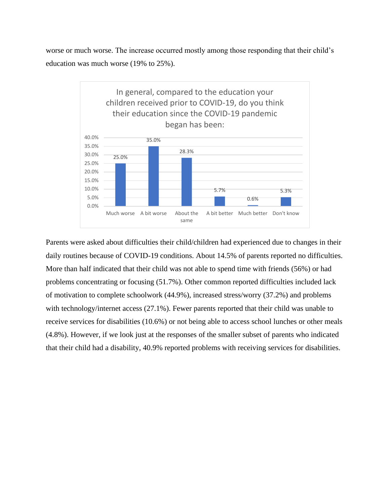worse or much worse. The increase occurred mostly among those responding that their child's education was much worse (19% to 25%).



Parents were asked about difficulties their child/children had experienced due to changes in their daily routines because of COVID-19 conditions. About 14.5% of parents reported no difficulties. More than half indicated that their child was not able to spend time with friends (56%) or had problems concentrating or focusing (51.7%). Other common reported difficulties included lack of motivation to complete schoolwork (44.9%), increased stress/worry (37.2%) and problems with technology/internet access (27.1%). Fewer parents reported that their child was unable to receive services for disabilities (10.6%) or not being able to access school lunches or other meals (4.8%). However, if we look just at the responses of the smaller subset of parents who indicated that their child had a disability, 40.9% reported problems with receiving services for disabilities.